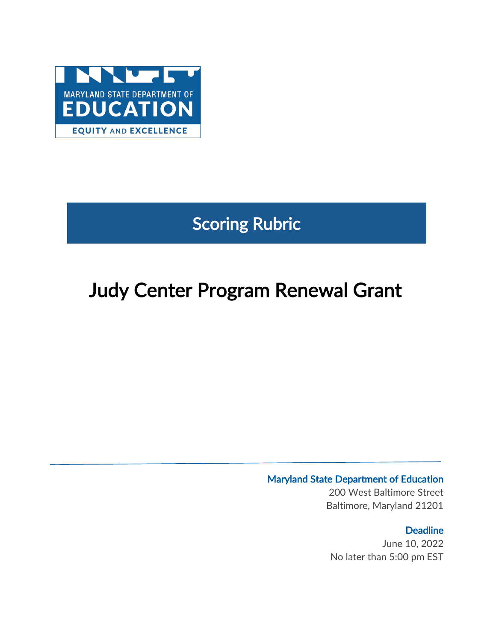

# Scoring Rubric

# Judy Center Program Renewal Grant

# Maryland State Department of Education

200 West Baltimore Street Baltimore, Maryland 21201

## **Deadline**

June 10, 2022 No later than 5:00 pm EST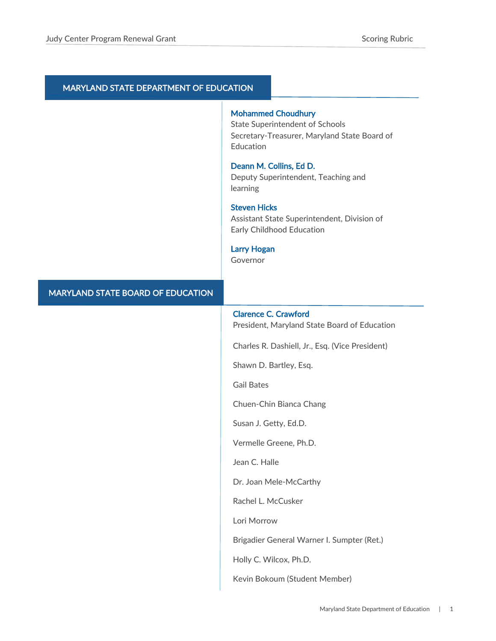#### MARYLAND STATE DEPARTMENT OF EDUCATION

#### Mohammed Choudhury

State Superintendent of Schools Secretary-Treasurer, Maryland State Board of Education

#### Deann M. Collins, Ed D.

Deputy Superintendent, Teaching and learning

#### Steven Hicks

Assistant State Superintendent, Division of Early Childhood Education

#### Larry Hogan

Governor

#### MARYLAND STATE BOARD OF EDUCATION

#### Clarence C. Crawford

President, Maryland State Board of Education

Charles R. Dashiell, Jr., Esq. (Vice President)

Shawn D. Bartley, Esq.

Gail Bates

Chuen-Chin Bianca Chang

Susan J. Getty, Ed.D.

Vermelle Greene, Ph.D.

Jean C. Halle

Dr. Joan Mele-McCarthy

Rachel L. McCusker

Lori Morrow

Brigadier General Warner I. Sumpter (Ret.)

Holly C. Wilcox, Ph.D.

Kevin Bokoum (Student Member)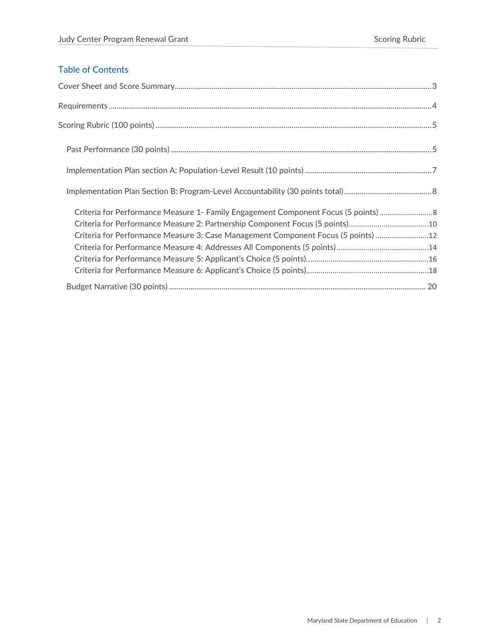## Table of Contents

| Criteria for Performance Measure 1- Family Engagement Component Focus (5 points) 8 |  |
|------------------------------------------------------------------------------------|--|
| Criteria for Performance Measure 2: Partnership Component Focus (5 points)10       |  |
| Criteria for Performance Measure 3: Case Management Component Focus (5 points)  12 |  |
|                                                                                    |  |
|                                                                                    |  |
|                                                                                    |  |
|                                                                                    |  |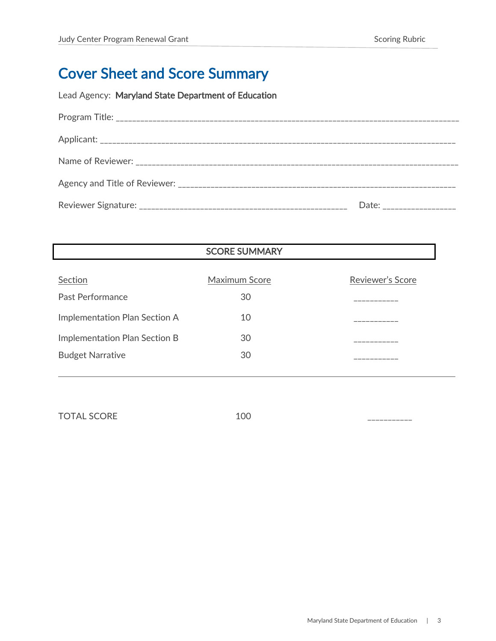# <span id="page-3-0"></span>Cover Sheet and Score Summary

Lead Agency: Maryland State Department of Education

| Date: ______________ |
|----------------------|

SCORE SUMMARY

| Section                       | Maximum Score | Reviewer's Score |
|-------------------------------|---------------|------------------|
| Past Performance              | 30            |                  |
| Implementation Plan Section A | 10            |                  |
| Implementation Plan Section B | 30            |                  |
| <b>Budget Narrative</b>       | 30            |                  |
|                               |               |                  |

TOTAL SCORE 100 22222222222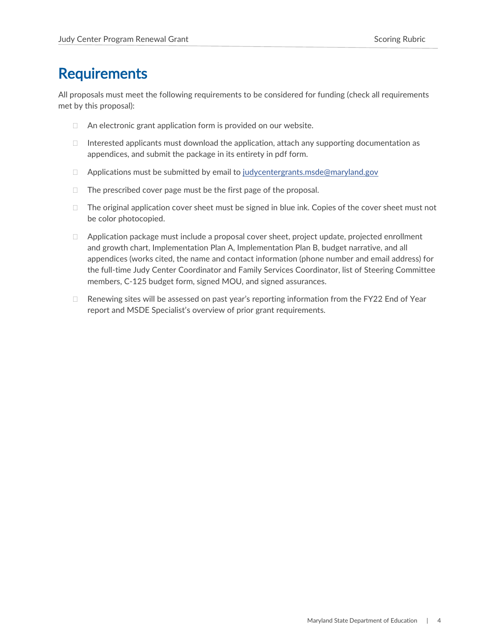# <span id="page-4-0"></span>**Requirements**

All proposals must meet the following requirements to be considered for funding (check all requirements met by this proposal):

- $\Box$  An electronic grant application form is provided on our website.
- $\Box$  Interested applicants must download the application, attach any supporting documentation as appendices, and submit the package in its entirety in pdf form.
- $\Box$  Applications must be submitted by email to [judycentergrants.msde@maryland.gov](mailto:judycentergrants.msde@maryland.gov)
- $\Box$  The prescribed cover page must be the first page of the proposal.
- $\Box$  The original application cover sheet must be signed in blue ink. Copies of the cover sheet must not be color photocopied.
- $\Box$  Application package must include a proposal cover sheet, project update, projected enrollment and growth chart, Implementation Plan A, Implementation Plan B, budget narrative, and all appendices (works cited, the name and contact information (phone number and email address) for the full-time Judy Center Coordinator and Family Services Coordinator, list of Steering Committee members, C-125 budget form, signed MOU, and signed assurances.
- $\Box$  Renewing sites will be assessed on past year's reporting information from the FY22 End of Year report and MSDE Specialist's overview of prior grant requirements.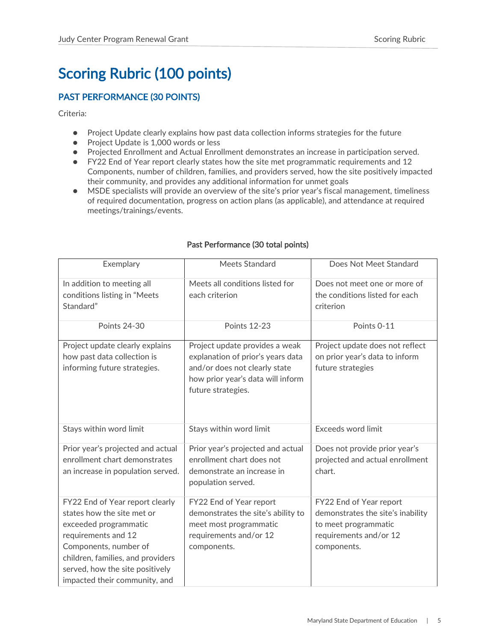# <span id="page-5-0"></span>Scoring Rubric (100 points)

### <span id="page-5-1"></span>PAST PERFORMANCE (30 POINTS)

Criteria:

- Project Update clearly explains how past data collection informs strategies for the future
- Project Update is 1,000 words or less
- Projected Enrollment and Actual Enrollment demonstrates an increase in participation served.
- FY22 End of Year report clearly states how the site met programmatic requirements and 12 Components, number of children, families, and providers served, how the site positively impacted their community, and provides any additional information for unmet goals
- MSDE specialists will provide an overview of the site's prior year's fiscal management, timeliness of required documentation, progress on action plans (as applicable), and attendance at required meetings/trainings/events.

| Exemplary                                                                                                                                                                                                                                       | Meets Standard                                                                                                                                                  | Does Not Meet Standard                                                                                                        |
|-------------------------------------------------------------------------------------------------------------------------------------------------------------------------------------------------------------------------------------------------|-----------------------------------------------------------------------------------------------------------------------------------------------------------------|-------------------------------------------------------------------------------------------------------------------------------|
| In addition to meeting all<br>conditions listing in "Meets<br>Standard"                                                                                                                                                                         | Meets all conditions listed for<br>each criterion                                                                                                               | Does not meet one or more of<br>the conditions listed for each<br>criterion                                                   |
| <b>Points 24-30</b>                                                                                                                                                                                                                             | <b>Points 12-23</b>                                                                                                                                             | Points 0-11                                                                                                                   |
| Project update clearly explains<br>how past data collection is<br>informing future strategies.                                                                                                                                                  | Project update provides a weak<br>explanation of prior's years data<br>and/or does not clearly state<br>how prior year's data will inform<br>future strategies. | Project update does not reflect<br>on prior year's data to inform<br>future strategies                                        |
| Stays within word limit                                                                                                                                                                                                                         | Stays within word limit                                                                                                                                         | Exceeds word limit                                                                                                            |
| Prior year's projected and actual<br>enrollment chart demonstrates<br>an increase in population served.                                                                                                                                         | Prior year's projected and actual<br>enrollment chart does not<br>demonstrate an increase in<br>population served.                                              | Does not provide prior year's<br>projected and actual enrollment<br>chart.                                                    |
| FY22 End of Year report clearly<br>states how the site met or<br>exceeded programmatic<br>requirements and 12<br>Components, number of<br>children, families, and providers<br>served, how the site positively<br>impacted their community, and | FY22 End of Year report<br>demonstrates the site's ability to<br>meet most programmatic<br>requirements and/or 12<br>components.                                | FY22 End of Year report<br>demonstrates the site's inability<br>to meet programmatic<br>requirements and/or 12<br>components. |

#### Past Performance (30 total points)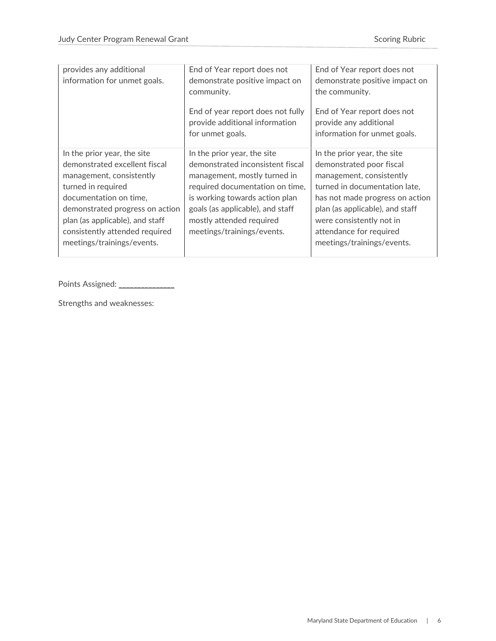| provides any additional<br>End of Year report does not<br>End of Year report does not<br>information for unmet goals.<br>demonstrate positive impact on<br>the community.<br>community.<br>End of year report does not fully<br>End of Year report does not<br>provide additional information<br>provide any additional<br>for unmet goals.<br>information for unmet goals.<br>In the prior year, the site<br>In the prior year, the site<br>In the prior year, the site<br>demonstrated excellent fiscal<br>demonstrated inconsistent fiscal<br>demonstrated poor fiscal<br>management, consistently<br>management, mostly turned in<br>management, consistently<br>turned in required<br>required documentation on time,<br>is working towards action plan<br>documentation on time,<br>demonstrated progress on action<br>goals (as applicable), and staff<br>plan (as applicable), and staff<br>plan (as applicable), and staff<br>mostly attended required<br>were consistently not in<br>consistently attended required<br>meetings/trainings/events.<br>attendance for required<br>meetings/trainings/events.<br>meetings/trainings/events. |  |                                                                  |
|----------------------------------------------------------------------------------------------------------------------------------------------------------------------------------------------------------------------------------------------------------------------------------------------------------------------------------------------------------------------------------------------------------------------------------------------------------------------------------------------------------------------------------------------------------------------------------------------------------------------------------------------------------------------------------------------------------------------------------------------------------------------------------------------------------------------------------------------------------------------------------------------------------------------------------------------------------------------------------------------------------------------------------------------------------------------------------------------------------------------------------------------------|--|------------------------------------------------------------------|
|                                                                                                                                                                                                                                                                                                                                                                                                                                                                                                                                                                                                                                                                                                                                                                                                                                                                                                                                                                                                                                                                                                                                                    |  | demonstrate positive impact on                                   |
|                                                                                                                                                                                                                                                                                                                                                                                                                                                                                                                                                                                                                                                                                                                                                                                                                                                                                                                                                                                                                                                                                                                                                    |  |                                                                  |
|                                                                                                                                                                                                                                                                                                                                                                                                                                                                                                                                                                                                                                                                                                                                                                                                                                                                                                                                                                                                                                                                                                                                                    |  | turned in documentation late,<br>has not made progress on action |
|                                                                                                                                                                                                                                                                                                                                                                                                                                                                                                                                                                                                                                                                                                                                                                                                                                                                                                                                                                                                                                                                                                                                                    |  |                                                                  |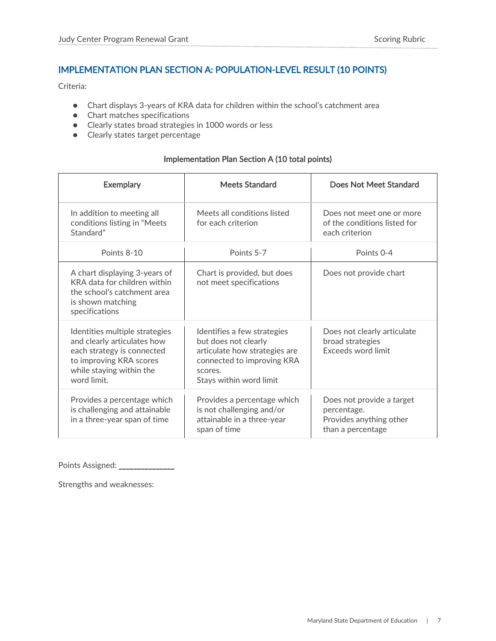### <span id="page-7-0"></span>IMPLEMENTATION PLAN SECTION A: POPULATION-LEVEL RESULT (10 POINTS)

Criteria:

- Chart displays 3-years of KRA data for children within the school's catchment area
- Chart matches specifications
- Clearly states broad strategies in 1000 words or less
- Clearly states target percentage

#### Implementation Plan Section A (10 total points)

| <b>Exemplary</b>                                                                                                                                                  | <b>Meets Standard</b>                                                                                                                                    | Does Not Meet Standard                                                                   |
|-------------------------------------------------------------------------------------------------------------------------------------------------------------------|----------------------------------------------------------------------------------------------------------------------------------------------------------|------------------------------------------------------------------------------------------|
| In addition to meeting all<br>conditions listing in "Meets<br>Standard"                                                                                           | Meets all conditions listed<br>for each criterion                                                                                                        | Does not meet one or more<br>of the conditions listed for<br>each criterion              |
| Points 8-10                                                                                                                                                       | Points 5-7                                                                                                                                               | Points 0-4                                                                               |
| A chart displaying 3-years of<br>KRA data for children within<br>the school's catchment area<br>is shown matching<br>specifications                               | Chart is provided, but does<br>not meet specifications                                                                                                   | Does not provide chart                                                                   |
| Identities multiple strategies<br>and clearly articulates how<br>each strategy is connected<br>to improving KRA scores<br>while staying within the<br>word limit. | Identifies a few strategies<br>but does not clearly<br>articulate how strategies are<br>connected to improving KRA<br>scores.<br>Stays within word limit | Does not clearly articulate<br>broad strategies<br>Exceeds word limit                    |
| Provides a percentage which<br>is challenging and attainable<br>in a three-year span of time                                                                      | Provides a percentage which<br>is not challenging and/or<br>attainable in a three-year<br>span of time                                                   | Does not provide a target<br>percentage.<br>Provides anything other<br>than a percentage |

Points Assigned: \_\_\_\_\_\_\_\_\_\_\_\_\_\_\_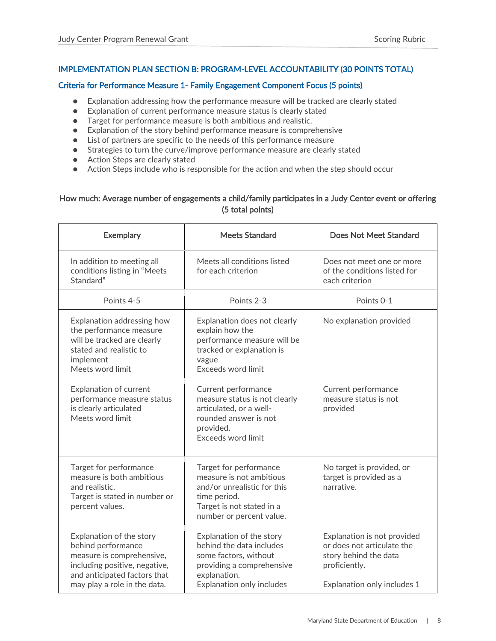#### <span id="page-8-0"></span>IMPLEMENTATION PLAN SECTION B: PROGRAM-LEVEL ACCOUNTABILITY (30 POINTS TOTAL)

#### <span id="page-8-1"></span>Criteria for Performance Measure 1- Family Engagement Component Focus (5 points)

- Explanation addressing how the performance measure will be tracked are clearly stated
- Explanation of current performance measure status is clearly stated
- Target for performance measure is both ambitious and realistic.
- Explanation of the story behind performance measure is comprehensive
- List of partners are specific to the needs of this performance measure
- Strategies to turn the curve/improve performance measure are clearly stated
- Action Steps are clearly stated
- Action Steps include who is responsible for the action and when the step should occur

#### How much: Average number of engagements a child/family participates in a Judy Center event or offering (5 total points)

| <b>Exemplary</b>                                                                                                                                                             | <b>Meets Standard</b>                                                                                                                                      | Does Not Meet Standard                                                                                                             |
|------------------------------------------------------------------------------------------------------------------------------------------------------------------------------|------------------------------------------------------------------------------------------------------------------------------------------------------------|------------------------------------------------------------------------------------------------------------------------------------|
| In addition to meeting all<br>conditions listing in "Meets<br>Standard"                                                                                                      | Meets all conditions listed<br>for each criterion                                                                                                          | Does not meet one or more<br>of the conditions listed for<br>each criterion                                                        |
| Points 4-5                                                                                                                                                                   | Points 2-3                                                                                                                                                 | Points 0-1                                                                                                                         |
| Explanation addressing how<br>the performance measure<br>will be tracked are clearly<br>stated and realistic to<br>implement<br>Meets word limit                             | Explanation does not clearly<br>explain how the<br>performance measure will be<br>tracked or explanation is<br>vague<br>Exceeds word limit                 | No explanation provided                                                                                                            |
| <b>Explanation of current</b><br>performance measure status<br>is clearly articulated<br>Meets word limit                                                                    | Current performance<br>measure status is not clearly<br>articulated, or a well-<br>rounded answer is not<br>provided.<br><b>Exceeds word limit</b>         | Current performance<br>measure status is not<br>provided                                                                           |
| Target for performance<br>measure is both ambitious<br>and realistic.<br>Target is stated in number or<br>percent values.                                                    | Target for performance<br>measure is not ambitious<br>and/or unrealistic for this<br>time period.<br>Target is not stated in a<br>number or percent value. | No target is provided, or<br>target is provided as a<br>narrative.                                                                 |
| Explanation of the story<br>behind performance<br>measure is comprehensive,<br>including positive, negative,<br>and anticipated factors that<br>may play a role in the data. | Explanation of the story<br>behind the data includes<br>some factors, without<br>providing a comprehensive<br>explanation.<br>Explanation only includes    | Explanation is not provided<br>or does not articulate the<br>story behind the data<br>proficiently.<br>Explanation only includes 1 |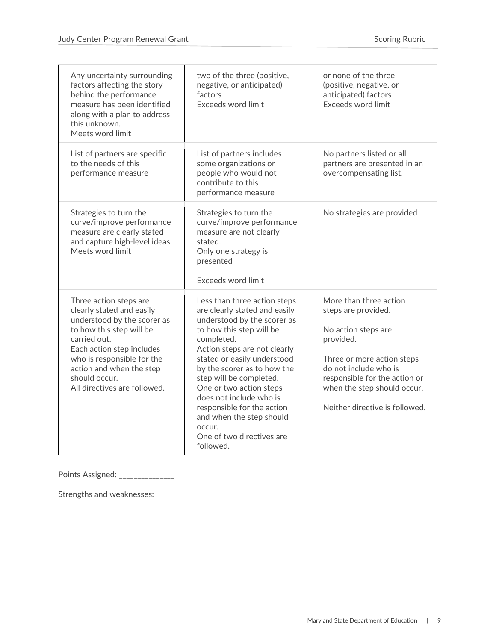| Any uncertainty surrounding<br>factors affecting the story<br>behind the performance<br>measure has been identified<br>along with a plan to address<br>this unknown.<br>Meets word limit                                                                               | two of the three (positive,<br>negative, or anticipated)<br>factors<br>Exceeds word limit                                                                                                                                                                                                                                                                                                                                           | or none of the three<br>(positive, negative, or<br>anticipated) factors<br>Exceeds word limit                                                                                                                                              |
|------------------------------------------------------------------------------------------------------------------------------------------------------------------------------------------------------------------------------------------------------------------------|-------------------------------------------------------------------------------------------------------------------------------------------------------------------------------------------------------------------------------------------------------------------------------------------------------------------------------------------------------------------------------------------------------------------------------------|--------------------------------------------------------------------------------------------------------------------------------------------------------------------------------------------------------------------------------------------|
| List of partners are specific<br>to the needs of this<br>performance measure                                                                                                                                                                                           | List of partners includes<br>some organizations or<br>people who would not<br>contribute to this<br>performance measure                                                                                                                                                                                                                                                                                                             | No partners listed or all<br>partners are presented in an<br>overcompensating list.                                                                                                                                                        |
| Strategies to turn the<br>curve/improve performance<br>measure are clearly stated<br>and capture high-level ideas.<br>Meets word limit                                                                                                                                 | Strategies to turn the<br>curve/improve performance<br>measure are not clearly<br>stated.<br>Only one strategy is<br>presented<br><b>Exceeds word limit</b>                                                                                                                                                                                                                                                                         | No strategies are provided                                                                                                                                                                                                                 |
| Three action steps are<br>clearly stated and easily<br>understood by the scorer as<br>to how this step will be<br>carried out.<br>Each action step includes<br>who is responsible for the<br>action and when the step<br>should occur.<br>All directives are followed. | Less than three action steps<br>are clearly stated and easily<br>understood by the scorer as<br>to how this step will be<br>completed.<br>Action steps are not clearly<br>stated or easily understood<br>by the scorer as to how the<br>step will be completed.<br>One or two action steps<br>does not include who is<br>responsible for the action<br>and when the step should<br>occur.<br>One of two directives are<br>followed. | More than three action<br>steps are provided.<br>No action steps are<br>provided.<br>Three or more action steps<br>do not include who is<br>responsible for the action or<br>when the step should occur.<br>Neither directive is followed. |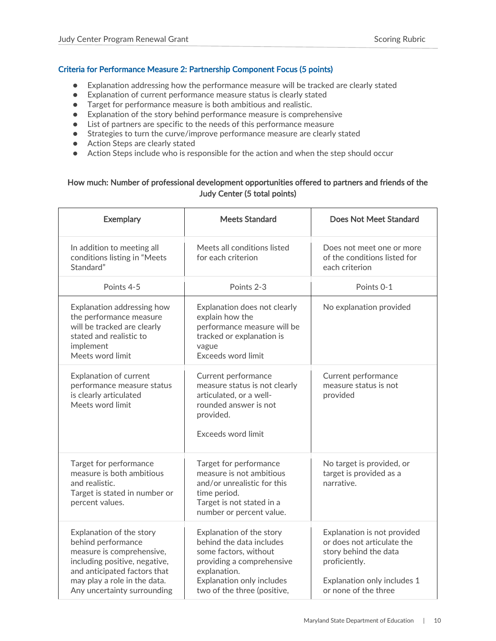#### <span id="page-10-0"></span>Criteria for Performance Measure 2: Partnership Component Focus (5 points)

- Explanation addressing how the performance measure will be tracked are clearly stated
- Explanation of current performance measure status is clearly stated
- Target for performance measure is both ambitious and realistic.
- Explanation of the story behind performance measure is comprehensive
- List of partners are specific to the needs of this performance measure
- Strategies to turn the curve/improve performance measure are clearly stated
- Action Steps are clearly stated
- Action Steps include who is responsible for the action and when the step should occur

#### How much: Number of professional development opportunities offered to partners and friends of the Judy Center (5 total points)

| <b>Exemplary</b>                                                                                                                                                                                            | <b>Meets Standard</b>                                                                                                                                                                  | <b>Does Not Meet Standard</b>                                                                                                                              |
|-------------------------------------------------------------------------------------------------------------------------------------------------------------------------------------------------------------|----------------------------------------------------------------------------------------------------------------------------------------------------------------------------------------|------------------------------------------------------------------------------------------------------------------------------------------------------------|
| In addition to meeting all<br>conditions listing in "Meets<br>Standard"                                                                                                                                     | Meets all conditions listed<br>for each criterion                                                                                                                                      | Does not meet one or more<br>of the conditions listed for<br>each criterion                                                                                |
| Points 4-5                                                                                                                                                                                                  | Points 2-3                                                                                                                                                                             | Points 0-1                                                                                                                                                 |
| Explanation addressing how<br>the performance measure<br>will be tracked are clearly<br>stated and realistic to<br>implement<br>Meets word limit                                                            | Explanation does not clearly<br>explain how the<br>performance measure will be<br>tracked or explanation is<br>vague<br>Exceeds word limit                                             | No explanation provided                                                                                                                                    |
| Explanation of current<br>performance measure status<br>is clearly articulated<br>Meets word limit                                                                                                          | Current performance<br>measure status is not clearly<br>articulated, or a well-<br>rounded answer is not<br>provided.<br><b>Exceeds word limit</b>                                     | Current performance<br>measure status is not<br>provided                                                                                                   |
| Target for performance<br>measure is both ambitious<br>and realistic.<br>Target is stated in number or<br>percent values.                                                                                   | Target for performance<br>measure is not ambitious<br>and/or unrealistic for this<br>time period.<br>Target is not stated in a<br>number or percent value.                             | No target is provided, or<br>target is provided as a<br>narrative.                                                                                         |
| Explanation of the story<br>behind performance<br>measure is comprehensive,<br>including positive, negative,<br>and anticipated factors that<br>may play a role in the data.<br>Any uncertainty surrounding | Explanation of the story<br>behind the data includes<br>some factors, without<br>providing a comprehensive<br>explanation.<br>Explanation only includes<br>two of the three (positive, | Explanation is not provided<br>or does not articulate the<br>story behind the data<br>proficiently.<br>Explanation only includes 1<br>or none of the three |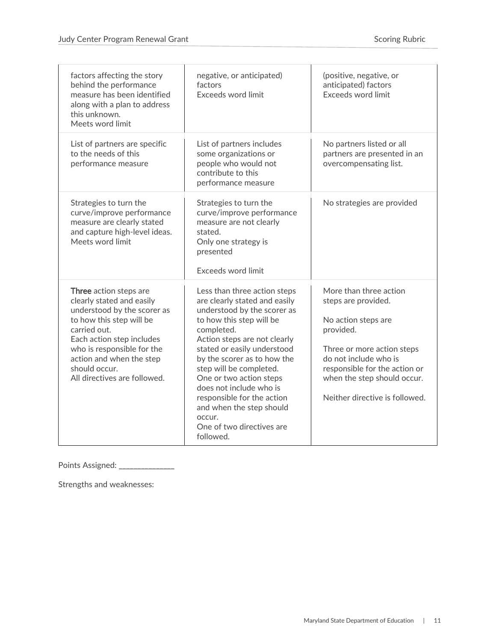| factors affecting the story<br>behind the performance<br>measure has been identified<br>along with a plan to address<br>this unknown.<br>Meets word limit                                                                                                              | negative, or anticipated)<br>factors<br>Exceeds word limit                                                                                                                                                                                                                                                                                                                                                                          | (positive, negative, or<br>anticipated) factors<br>Exceeds word limit                                                                                                                                                                      |
|------------------------------------------------------------------------------------------------------------------------------------------------------------------------------------------------------------------------------------------------------------------------|-------------------------------------------------------------------------------------------------------------------------------------------------------------------------------------------------------------------------------------------------------------------------------------------------------------------------------------------------------------------------------------------------------------------------------------|--------------------------------------------------------------------------------------------------------------------------------------------------------------------------------------------------------------------------------------------|
| List of partners are specific<br>to the needs of this<br>performance measure                                                                                                                                                                                           | List of partners includes<br>some organizations or<br>people who would not<br>contribute to this<br>performance measure                                                                                                                                                                                                                                                                                                             | No partners listed or all<br>partners are presented in an<br>overcompensating list.                                                                                                                                                        |
| Strategies to turn the<br>curve/improve performance<br>measure are clearly stated<br>and capture high-level ideas.<br>Meets word limit                                                                                                                                 | Strategies to turn the<br>curve/improve performance<br>measure are not clearly<br>stated.<br>Only one strategy is<br>presented<br><b>Exceeds word limit</b>                                                                                                                                                                                                                                                                         | No strategies are provided                                                                                                                                                                                                                 |
| Three action steps are<br>clearly stated and easily<br>understood by the scorer as<br>to how this step will be<br>carried out.<br>Each action step includes<br>who is responsible for the<br>action and when the step<br>should occur.<br>All directives are followed. | Less than three action steps<br>are clearly stated and easily<br>understood by the scorer as<br>to how this step will be<br>completed.<br>Action steps are not clearly<br>stated or easily understood<br>by the scorer as to how the<br>step will be completed.<br>One or two action steps<br>does not include who is<br>responsible for the action<br>and when the step should<br>OCCUL.<br>One of two directives are<br>followed. | More than three action<br>steps are provided.<br>No action steps are<br>provided.<br>Three or more action steps<br>do not include who is<br>responsible for the action or<br>when the step should occur.<br>Neither directive is followed. |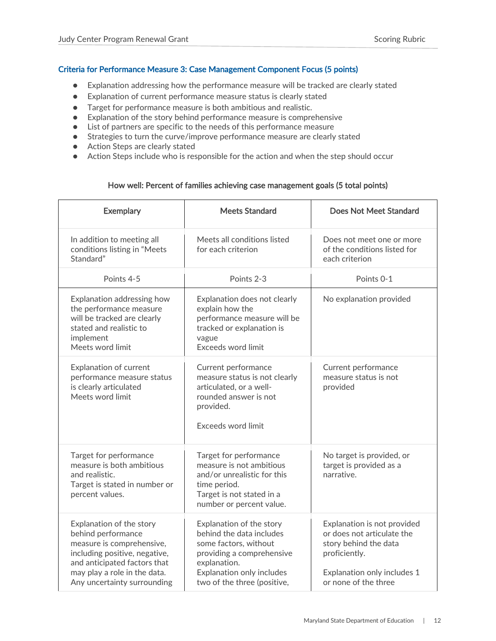#### <span id="page-12-0"></span>Criteria for Performance Measure 3: Case Management Component Focus (5 points)

- Explanation addressing how the performance measure will be tracked are clearly stated
- Explanation of current performance measure status is clearly stated
- Target for performance measure is both ambitious and realistic.
- Explanation of the story behind performance measure is comprehensive
- List of partners are specific to the needs of this performance measure
- Strategies to turn the curve/improve performance measure are clearly stated
- Action Steps are clearly stated
- Action Steps include who is responsible for the action and when the step should occur

#### How well: Percent of families achieving case management goals (5 total points)

| <b>Exemplary</b>                                                                                                                                                                                            | <b>Meets Standard</b>                                                                                                                                                                  | Does Not Meet Standard                                                                                                                                     |
|-------------------------------------------------------------------------------------------------------------------------------------------------------------------------------------------------------------|----------------------------------------------------------------------------------------------------------------------------------------------------------------------------------------|------------------------------------------------------------------------------------------------------------------------------------------------------------|
| In addition to meeting all<br>conditions listing in "Meets<br>Standard"                                                                                                                                     | Meets all conditions listed<br>for each criterion                                                                                                                                      | Does not meet one or more<br>of the conditions listed for<br>each criterion                                                                                |
| Points 4-5                                                                                                                                                                                                  | Points 2-3                                                                                                                                                                             | Points 0-1                                                                                                                                                 |
| Explanation addressing how<br>the performance measure<br>will be tracked are clearly<br>stated and realistic to<br>implement<br>Meets word limit                                                            | Explanation does not clearly<br>explain how the<br>performance measure will be<br>tracked or explanation is<br>vague<br>Exceeds word limit                                             | No explanation provided                                                                                                                                    |
| <b>Explanation of current</b><br>performance measure status<br>is clearly articulated<br>Meets word limit                                                                                                   | Current performance<br>measure status is not clearly<br>articulated, or a well-<br>rounded answer is not<br>provided.<br>Exceeds word limit                                            | Current performance<br>measure status is not<br>provided                                                                                                   |
| Target for performance<br>measure is both ambitious<br>and realistic.<br>Target is stated in number or<br>percent values.                                                                                   | Target for performance<br>measure is not ambitious<br>and/or unrealistic for this<br>time period.<br>Target is not stated in a<br>number or percent value.                             | No target is provided, or<br>target is provided as a<br>narrative.                                                                                         |
| Explanation of the story<br>behind performance<br>measure is comprehensive,<br>including positive, negative,<br>and anticipated factors that<br>may play a role in the data.<br>Any uncertainty surrounding | Explanation of the story<br>behind the data includes<br>some factors, without<br>providing a comprehensive<br>explanation.<br>Explanation only includes<br>two of the three (positive, | Explanation is not provided<br>or does not articulate the<br>story behind the data<br>proficiently.<br>Explanation only includes 1<br>or none of the three |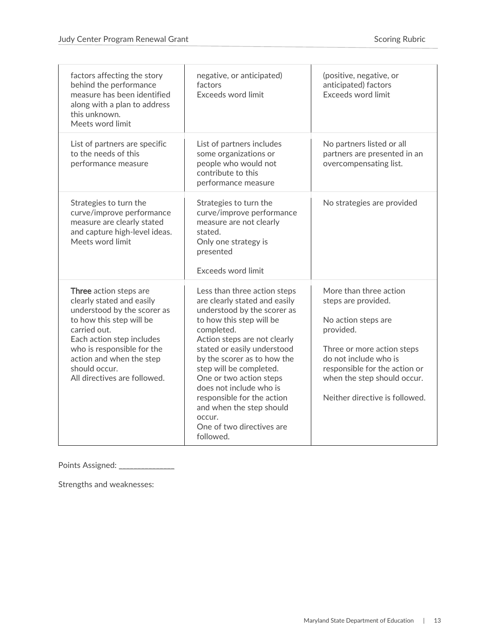| factors affecting the story<br>behind the performance<br>measure has been identified<br>along with a plan to address<br>this unknown.<br>Meets word limit                                                                                                              | negative, or anticipated)<br>factors<br>Exceeds word limit                                                                                                                                                                                                                                                                                                                                                                          | (positive, negative, or<br>anticipated) factors<br>Exceeds word limit                                                                                                                                                                      |
|------------------------------------------------------------------------------------------------------------------------------------------------------------------------------------------------------------------------------------------------------------------------|-------------------------------------------------------------------------------------------------------------------------------------------------------------------------------------------------------------------------------------------------------------------------------------------------------------------------------------------------------------------------------------------------------------------------------------|--------------------------------------------------------------------------------------------------------------------------------------------------------------------------------------------------------------------------------------------|
| List of partners are specific<br>to the needs of this<br>performance measure                                                                                                                                                                                           | List of partners includes<br>some organizations or<br>people who would not<br>contribute to this<br>performance measure                                                                                                                                                                                                                                                                                                             | No partners listed or all<br>partners are presented in an<br>overcompensating list.                                                                                                                                                        |
| Strategies to turn the<br>curve/improve performance<br>measure are clearly stated<br>and capture high-level ideas.<br>Meets word limit                                                                                                                                 | Strategies to turn the<br>curve/improve performance<br>measure are not clearly<br>stated.<br>Only one strategy is<br>presented<br><b>Exceeds word limit</b>                                                                                                                                                                                                                                                                         | No strategies are provided                                                                                                                                                                                                                 |
| Three action steps are<br>clearly stated and easily<br>understood by the scorer as<br>to how this step will be<br>carried out.<br>Each action step includes<br>who is responsible for the<br>action and when the step<br>should occur.<br>All directives are followed. | Less than three action steps<br>are clearly stated and easily<br>understood by the scorer as<br>to how this step will be<br>completed.<br>Action steps are not clearly<br>stated or easily understood<br>by the scorer as to how the<br>step will be completed.<br>One or two action steps<br>does not include who is<br>responsible for the action<br>and when the step should<br>OCCUL.<br>One of two directives are<br>followed. | More than three action<br>steps are provided.<br>No action steps are<br>provided.<br>Three or more action steps<br>do not include who is<br>responsible for the action or<br>when the step should occur.<br>Neither directive is followed. |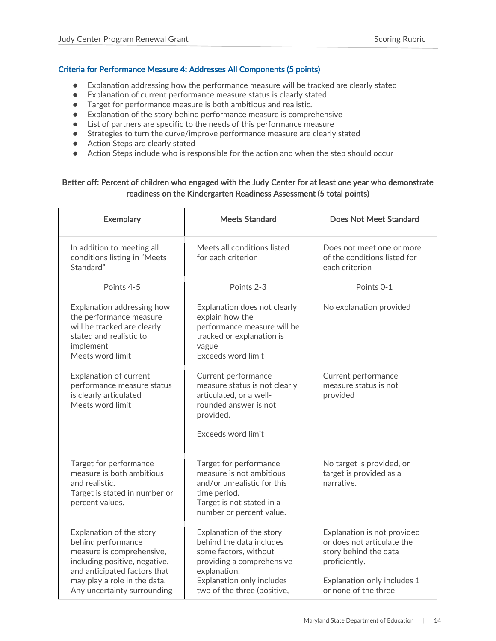#### <span id="page-14-0"></span>Criteria for Performance Measure 4: Addresses All Components (5 points)

- Explanation addressing how the performance measure will be tracked are clearly stated
- Explanation of current performance measure status is clearly stated
- Target for performance measure is both ambitious and realistic.
- Explanation of the story behind performance measure is comprehensive
- List of partners are specific to the needs of this performance measure
- Strategies to turn the curve/improve performance measure are clearly stated
- Action Steps are clearly stated
- Action Steps include who is responsible for the action and when the step should occur

#### Better off: Percent of children who engaged with the Judy Center for at least one year who demonstrate readiness on the Kindergarten Readiness Assessment (5 total points)

| <b>Exemplary</b>                                                                                                                                                                                            | <b>Meets Standard</b>                                                                                                                                                                  | Does Not Meet Standard                                                                                                                                     |
|-------------------------------------------------------------------------------------------------------------------------------------------------------------------------------------------------------------|----------------------------------------------------------------------------------------------------------------------------------------------------------------------------------------|------------------------------------------------------------------------------------------------------------------------------------------------------------|
| In addition to meeting all<br>conditions listing in "Meets<br>Standard"                                                                                                                                     | Meets all conditions listed<br>for each criterion                                                                                                                                      | Does not meet one or more<br>of the conditions listed for<br>each criterion                                                                                |
| Points 4-5                                                                                                                                                                                                  | Points 2-3                                                                                                                                                                             | Points 0-1                                                                                                                                                 |
| Explanation addressing how<br>the performance measure<br>will be tracked are clearly<br>stated and realistic to<br>implement<br>Meets word limit                                                            | Explanation does not clearly<br>explain how the<br>performance measure will be<br>tracked or explanation is<br>vague<br>Exceeds word limit                                             | No explanation provided                                                                                                                                    |
| Explanation of current<br>performance measure status<br>is clearly articulated<br>Meets word limit                                                                                                          | Current performance<br>measure status is not clearly<br>articulated, or a well-<br>rounded answer is not<br>provided.<br>Exceeds word limit                                            | Current performance<br>measure status is not<br>provided                                                                                                   |
| Target for performance<br>measure is both ambitious<br>and realistic.<br>Target is stated in number or<br>percent values.                                                                                   | Target for performance<br>measure is not ambitious<br>and/or unrealistic for this<br>time period.<br>Target is not stated in a<br>number or percent value.                             | No target is provided, or<br>target is provided as a<br>narrative.                                                                                         |
| Explanation of the story<br>behind performance<br>measure is comprehensive,<br>including positive, negative,<br>and anticipated factors that<br>may play a role in the data.<br>Any uncertainty surrounding | Explanation of the story<br>behind the data includes<br>some factors, without<br>providing a comprehensive<br>explanation.<br>Explanation only includes<br>two of the three (positive, | Explanation is not provided<br>or does not articulate the<br>story behind the data<br>proficiently.<br>Explanation only includes 1<br>or none of the three |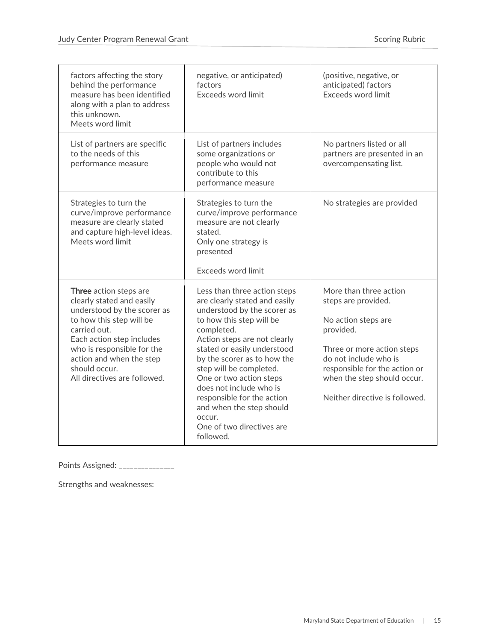| factors affecting the story<br>behind the performance<br>measure has been identified<br>along with a plan to address<br>this unknown.<br>Meets word limit                                                                                                              | negative, or anticipated)<br>factors<br>Exceeds word limit                                                                                                                                                                                                                                                                                                                                                                          | (positive, negative, or<br>anticipated) factors<br>Exceeds word limit                                                                                                                                                                      |
|------------------------------------------------------------------------------------------------------------------------------------------------------------------------------------------------------------------------------------------------------------------------|-------------------------------------------------------------------------------------------------------------------------------------------------------------------------------------------------------------------------------------------------------------------------------------------------------------------------------------------------------------------------------------------------------------------------------------|--------------------------------------------------------------------------------------------------------------------------------------------------------------------------------------------------------------------------------------------|
| List of partners are specific<br>to the needs of this<br>performance measure                                                                                                                                                                                           | List of partners includes<br>some organizations or<br>people who would not<br>contribute to this<br>performance measure                                                                                                                                                                                                                                                                                                             | No partners listed or all<br>partners are presented in an<br>overcompensating list.                                                                                                                                                        |
| Strategies to turn the<br>curve/improve performance<br>measure are clearly stated<br>and capture high-level ideas.<br>Meets word limit                                                                                                                                 | Strategies to turn the<br>curve/improve performance<br>measure are not clearly<br>stated.<br>Only one strategy is<br>presented<br><b>Exceeds word limit</b>                                                                                                                                                                                                                                                                         | No strategies are provided                                                                                                                                                                                                                 |
| Three action steps are<br>clearly stated and easily<br>understood by the scorer as<br>to how this step will be<br>carried out.<br>Each action step includes<br>who is responsible for the<br>action and when the step<br>should occur.<br>All directives are followed. | Less than three action steps<br>are clearly stated and easily<br>understood by the scorer as<br>to how this step will be<br>completed.<br>Action steps are not clearly<br>stated or easily understood<br>by the scorer as to how the<br>step will be completed.<br>One or two action steps<br>does not include who is<br>responsible for the action<br>and when the step should<br>OCCUL.<br>One of two directives are<br>followed. | More than three action<br>steps are provided.<br>No action steps are<br>provided.<br>Three or more action steps<br>do not include who is<br>responsible for the action or<br>when the step should occur.<br>Neither directive is followed. |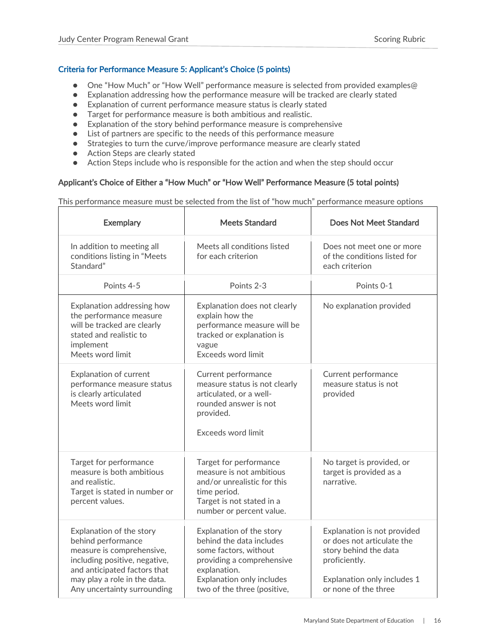#### <span id="page-16-0"></span>Criteria for Performance Measure 5: Applicant's Choice (5 points)

- One "How Much" or "How Well" performance measure is selected from provided examples@
- Explanation addressing how the performance measure will be tracked are clearly stated
- Explanation of current performance measure status is clearly stated
- Target for performance measure is both ambitious and realistic.
- Explanation of the story behind performance measure is comprehensive
- List of partners are specific to the needs of this performance measure
- Strategies to turn the curve/improve performance measure are clearly stated
- Action Steps are clearly stated
- Action Steps include who is responsible for the action and when the step should occur

#### Applicant's Choice of Either a "How Much" or "How Well" Performance Measure (5 total points)

This performance measure must be selected from the list of "how much" performance measure options

| <b>Exemplary</b>                                                                                                                                                                                            | <b>Meets Standard</b>                                                                                                                                                                  | Does Not Meet Standard                                                                                                                                     |
|-------------------------------------------------------------------------------------------------------------------------------------------------------------------------------------------------------------|----------------------------------------------------------------------------------------------------------------------------------------------------------------------------------------|------------------------------------------------------------------------------------------------------------------------------------------------------------|
| In addition to meeting all<br>conditions listing in "Meets<br>Standard"                                                                                                                                     | Meets all conditions listed<br>for each criterion                                                                                                                                      | Does not meet one or more<br>of the conditions listed for<br>each criterion                                                                                |
| Points 4-5                                                                                                                                                                                                  | Points 2-3                                                                                                                                                                             | Points 0-1                                                                                                                                                 |
| Explanation addressing how<br>the performance measure<br>will be tracked are clearly<br>stated and realistic to<br>implement<br>Meets word limit                                                            | Explanation does not clearly<br>explain how the<br>performance measure will be<br>tracked or explanation is<br>vague<br><b>Exceeds word limit</b>                                      | No explanation provided                                                                                                                                    |
| Explanation of current<br>performance measure status<br>is clearly articulated<br>Meets word limit                                                                                                          | Current performance<br>measure status is not clearly<br>articulated, or a well-<br>rounded answer is not<br>provided.<br>Exceeds word limit                                            | Current performance<br>measure status is not<br>provided                                                                                                   |
| Target for performance<br>measure is both ambitious<br>and realistic.<br>Target is stated in number or<br>percent values.                                                                                   | Target for performance<br>measure is not ambitious<br>and/or unrealistic for this<br>time period.<br>Target is not stated in a<br>number or percent value.                             | No target is provided, or<br>target is provided as a<br>narrative.                                                                                         |
| Explanation of the story<br>behind performance<br>measure is comprehensive,<br>including positive, negative,<br>and anticipated factors that<br>may play a role in the data.<br>Any uncertainty surrounding | Explanation of the story<br>behind the data includes<br>some factors, without<br>providing a comprehensive<br>explanation.<br>Explanation only includes<br>two of the three (positive, | Explanation is not provided<br>or does not articulate the<br>story behind the data<br>proficiently.<br>Explanation only includes 1<br>or none of the three |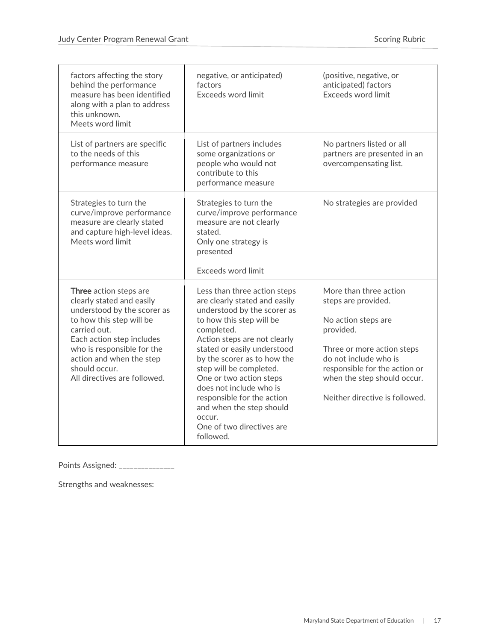| factors affecting the story<br>behind the performance<br>measure has been identified<br>along with a plan to address<br>this unknown.<br>Meets word limit                                                                                                              | negative, or anticipated)<br>factors<br>Exceeds word limit                                                                                                                                                                                                                                                                                                                                                                          | (positive, negative, or<br>anticipated) factors<br>Exceeds word limit                                                                                                                                                                      |
|------------------------------------------------------------------------------------------------------------------------------------------------------------------------------------------------------------------------------------------------------------------------|-------------------------------------------------------------------------------------------------------------------------------------------------------------------------------------------------------------------------------------------------------------------------------------------------------------------------------------------------------------------------------------------------------------------------------------|--------------------------------------------------------------------------------------------------------------------------------------------------------------------------------------------------------------------------------------------|
| List of partners are specific<br>to the needs of this<br>performance measure                                                                                                                                                                                           | List of partners includes<br>some organizations or<br>people who would not<br>contribute to this<br>performance measure                                                                                                                                                                                                                                                                                                             | No partners listed or all<br>partners are presented in an<br>overcompensating list.                                                                                                                                                        |
| Strategies to turn the<br>curve/improve performance<br>measure are clearly stated<br>and capture high-level ideas.<br>Meets word limit                                                                                                                                 | Strategies to turn the<br>curve/improve performance<br>measure are not clearly<br>stated.<br>Only one strategy is<br>presented<br><b>Exceeds word limit</b>                                                                                                                                                                                                                                                                         | No strategies are provided                                                                                                                                                                                                                 |
| Three action steps are<br>clearly stated and easily<br>understood by the scorer as<br>to how this step will be<br>carried out.<br>Each action step includes<br>who is responsible for the<br>action and when the step<br>should occur.<br>All directives are followed. | Less than three action steps<br>are clearly stated and easily<br>understood by the scorer as<br>to how this step will be<br>completed.<br>Action steps are not clearly<br>stated or easily understood<br>by the scorer as to how the<br>step will be completed.<br>One or two action steps<br>does not include who is<br>responsible for the action<br>and when the step should<br>OCCUL.<br>One of two directives are<br>followed. | More than three action<br>steps are provided.<br>No action steps are<br>provided.<br>Three or more action steps<br>do not include who is<br>responsible for the action or<br>when the step should occur.<br>Neither directive is followed. |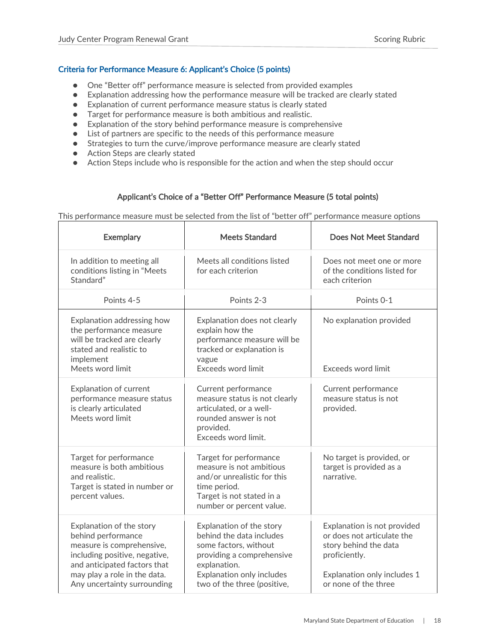#### <span id="page-18-0"></span>Criteria for Performance Measure 6: Applicant's Choice (5 points)

- One "Better off" performance measure is selected from provided examples
- Explanation addressing how the performance measure will be tracked are clearly stated
- Explanation of current performance measure status is clearly stated
- Target for performance measure is both ambitious and realistic.
- Explanation of the story behind performance measure is comprehensive
- List of partners are specific to the needs of this performance measure
- Strategies to turn the curve/improve performance measure are clearly stated
- Action Steps are clearly stated
- Action Steps include who is responsible for the action and when the step should occur

#### Applicant's Choice of a "Better Off" Performance Measure (5 total points)

This performance measure must be selected from the list of "better off" performance measure options

| <b>Exemplary</b>                                                                                                                                                                                            | <b>Meets Standard</b>                                                                                                                                                                  | Does Not Meet Standard                                                                                                                                     |
|-------------------------------------------------------------------------------------------------------------------------------------------------------------------------------------------------------------|----------------------------------------------------------------------------------------------------------------------------------------------------------------------------------------|------------------------------------------------------------------------------------------------------------------------------------------------------------|
| In addition to meeting all<br>conditions listing in "Meets<br>Standard"                                                                                                                                     | Meets all conditions listed<br>for each criterion                                                                                                                                      | Does not meet one or more<br>of the conditions listed for<br>each criterion                                                                                |
| Points 4-5                                                                                                                                                                                                  | Points 2-3                                                                                                                                                                             | Points 0-1                                                                                                                                                 |
| Explanation addressing how<br>the performance measure<br>will be tracked are clearly<br>stated and realistic to<br>implement<br>Meets word limit                                                            | Explanation does not clearly<br>explain how the<br>performance measure will be<br>tracked or explanation is<br>vague<br>Exceeds word limit                                             | No explanation provided<br>Exceeds word limit                                                                                                              |
| <b>Explanation of current</b><br>performance measure status<br>is clearly articulated<br>Meets word limit                                                                                                   | Current performance<br>measure status is not clearly<br>articulated, or a well-<br>rounded answer is not<br>provided.<br>Exceeds word limit.                                           | Current performance<br>measure status is not<br>provided.                                                                                                  |
| Target for performance<br>measure is both ambitious<br>and realistic.<br>Target is stated in number or<br>percent values.                                                                                   | Target for performance<br>measure is not ambitious<br>and/or unrealistic for this<br>time period.<br>Target is not stated in a<br>number or percent value.                             | No target is provided, or<br>target is provided as a<br>narrative.                                                                                         |
| Explanation of the story<br>behind performance<br>measure is comprehensive,<br>including positive, negative,<br>and anticipated factors that<br>may play a role in the data.<br>Any uncertainty surrounding | Explanation of the story<br>behind the data includes<br>some factors, without<br>providing a comprehensive<br>explanation.<br>Explanation only includes<br>two of the three (positive, | Explanation is not provided<br>or does not articulate the<br>story behind the data<br>proficiently.<br>Explanation only includes 1<br>or none of the three |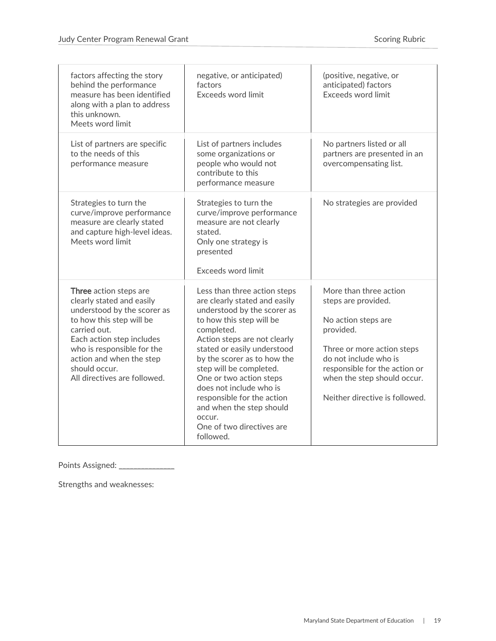| factors affecting the story<br>behind the performance<br>measure has been identified<br>along with a plan to address<br>this unknown.<br>Meets word limit                                                                                                              | negative, or anticipated)<br>factors<br>Exceeds word limit                                                                                                                                                                                                                                                                                                                                                                          | (positive, negative, or<br>anticipated) factors<br>Exceeds word limit                                                                                                                                                                      |
|------------------------------------------------------------------------------------------------------------------------------------------------------------------------------------------------------------------------------------------------------------------------|-------------------------------------------------------------------------------------------------------------------------------------------------------------------------------------------------------------------------------------------------------------------------------------------------------------------------------------------------------------------------------------------------------------------------------------|--------------------------------------------------------------------------------------------------------------------------------------------------------------------------------------------------------------------------------------------|
| List of partners are specific<br>to the needs of this<br>performance measure                                                                                                                                                                                           | List of partners includes<br>some organizations or<br>people who would not<br>contribute to this<br>performance measure                                                                                                                                                                                                                                                                                                             | No partners listed or all<br>partners are presented in an<br>overcompensating list.                                                                                                                                                        |
| Strategies to turn the<br>curve/improve performance<br>measure are clearly stated<br>and capture high-level ideas.<br>Meets word limit                                                                                                                                 | Strategies to turn the<br>curve/improve performance<br>measure are not clearly<br>stated.<br>Only one strategy is<br>presented<br><b>Exceeds word limit</b>                                                                                                                                                                                                                                                                         | No strategies are provided                                                                                                                                                                                                                 |
| Three action steps are<br>clearly stated and easily<br>understood by the scorer as<br>to how this step will be<br>carried out.<br>Each action step includes<br>who is responsible for the<br>action and when the step<br>should occur.<br>All directives are followed. | Less than three action steps<br>are clearly stated and easily<br>understood by the scorer as<br>to how this step will be<br>completed.<br>Action steps are not clearly<br>stated or easily understood<br>by the scorer as to how the<br>step will be completed.<br>One or two action steps<br>does not include who is<br>responsible for the action<br>and when the step should<br>OCCUL.<br>One of two directives are<br>followed. | More than three action<br>steps are provided.<br>No action steps are<br>provided.<br>Three or more action steps<br>do not include who is<br>responsible for the action or<br>when the step should occur.<br>Neither directive is followed. |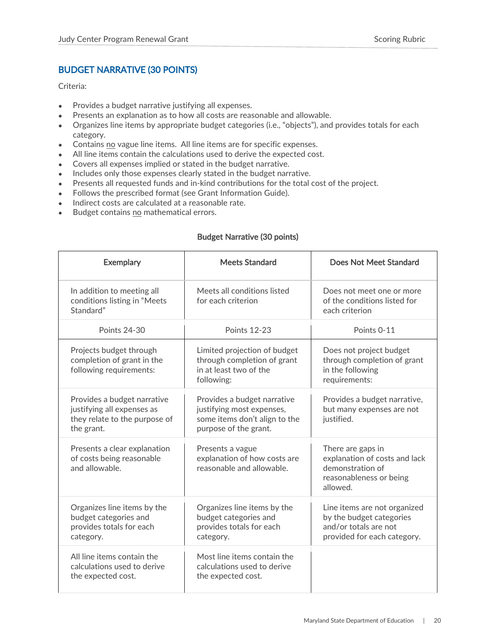### <span id="page-20-0"></span>BUDGET NARRATIVE (30 POINTS)

Criteria:

- Provides a budget narrative justifying all expenses.
- Presents an explanation as to how all costs are reasonable and allowable.
- Organizes line items by appropriate budget categories (i.e., "objects"), and provides totals for each category.
- Contains no vague line items. All line items are for specific expenses.
- All line items contain the calculations used to derive the expected cost.
- Covers all expenses implied or stated in the budget narrative.
- Includes only those expenses clearly stated in the budget narrative.
- Presents all requested funds and in-kind contributions for the total cost of the project.
- Follows the prescribed format (see Grant Information Guide).
- Indirect costs are calculated at a reasonable rate.
- Budget contains no mathematical errors.

#### Budget Narrative (30 points)

| <b>Exemplary</b>                                                                                         | <b>Meets Standard</b>                                                                                              | Does Not Meet Standard                                                                                           |
|----------------------------------------------------------------------------------------------------------|--------------------------------------------------------------------------------------------------------------------|------------------------------------------------------------------------------------------------------------------|
| In addition to meeting all<br>conditions listing in "Meets<br>Standard"                                  | Meets all conditions listed<br>for each criterion                                                                  | Does not meet one or more<br>of the conditions listed for<br>each criterion                                      |
| <b>Points 24-30</b>                                                                                      | <b>Points 12-23</b>                                                                                                | Points 0-11                                                                                                      |
| Projects budget through<br>completion of grant in the<br>following requirements:                         | Limited projection of budget<br>through completion of grant<br>in at least two of the<br>following:                | Does not project budget<br>through completion of grant<br>in the following<br>requirements:                      |
| Provides a budget narrative<br>justifying all expenses as<br>they relate to the purpose of<br>the grant. | Provides a budget narrative<br>justifying most expenses,<br>some items don't align to the<br>purpose of the grant. | Provides a budget narrative,<br>but many expenses are not<br>justified.                                          |
| Presents a clear explanation<br>of costs being reasonable<br>and allowable.                              | Presents a vague<br>explanation of how costs are<br>reasonable and allowable.                                      | There are gaps in<br>explanation of costs and lack<br>demonstration of<br>reasonableness or being<br>allowed.    |
| Organizes line items by the<br>budget categories and<br>provides totals for each<br>category.            | Organizes line items by the<br>budget categories and<br>provides totals for each<br>category.                      | Line items are not organized<br>by the budget categories<br>and/or totals are not<br>provided for each category. |
| All line items contain the<br>calculations used to derive<br>the expected cost.                          | Most line items contain the<br>calculations used to derive<br>the expected cost.                                   |                                                                                                                  |